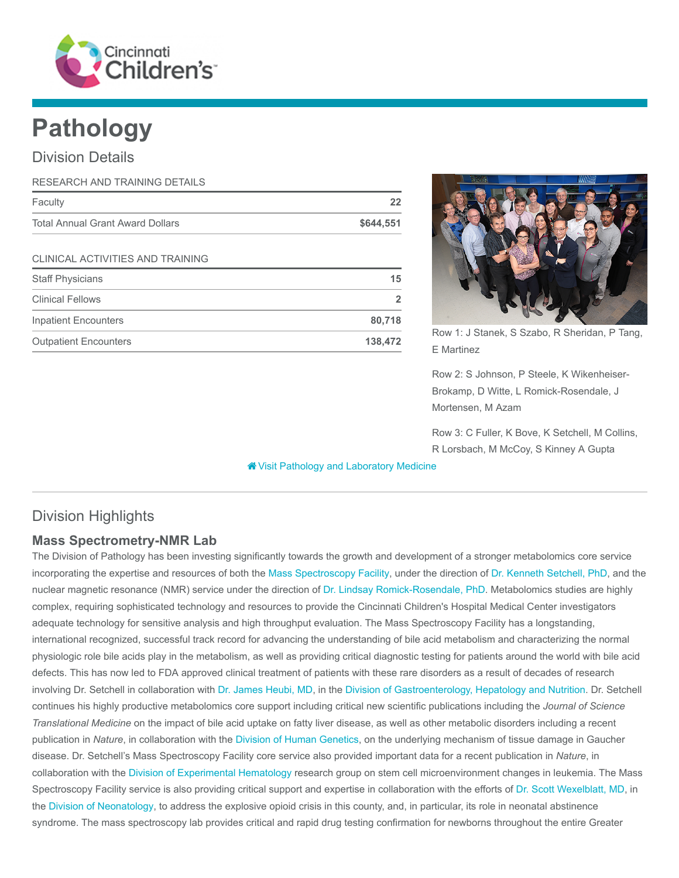

# Pathology

## Division Details

| RESEARCH AND TRAINING DETAILS           |           |
|-----------------------------------------|-----------|
| Faculty                                 | 22        |
| <b>Total Annual Grant Award Dollars</b> | \$644,551 |
| <b>CLINICAL ACTIVITIES AND TRAINING</b> |           |
| <b>Staff Physicians</b>                 | 15        |
| <b>Clinical Fellows</b>                 | 2         |
| <b>Inpatient Encounters</b>             | 80,718    |
| <b>Outpatient Encounters</b>            | 138,472   |



Row 1: J Stanek, S Szabo, R Sheridan, P Tang, E Martinez

Row 2: S Johnson, P Steele, K Wikenheiser-Brokamp, D Witte, L Romick-Rosendale, J Mortensen, M Azam

Row 3: C Fuller, K Bove, K Setchell, M Collins, R Lorsbach, M McCoy, S Kinney A Gupta

[Visit Pathology and Laboratory Medicine](https://www.cincinnatichildrens.org/research/divisions/p/pathology)

# Division Highlights

## Mass Spectrometry-NMR Lab

The Division of Pathology has been investing significantly towards the growth and development of a stronger metabolomics core service incorporating the expertise and resources of both the [Mass Spectroscopy Facility,](https://www.cincinnatichildrens.org/research/cores) under the direction of [Dr. Kenneth Setchell, PhD,](https://www.cincinnatichildrens.org/bio/s/kenneth-setchell) and the nuclear magnetic resonance (NMR) service under the direction of [Dr. Lindsay Romick-Rosendale, PhD.](https://www.cincinnatichildrens.org/bio/r/lindsey-romick-rosendale) Metabolomics studies are highly complex, requiring sophisticated technology and resources to provide the Cincinnati Children's Hospital Medical Center investigators adequate technology for sensitive analysis and high throughput evaluation. The Mass Spectroscopy Facility has a longstanding, international recognized, successful track record for advancing the understanding of bile acid metabolism and characterizing the normal physiologic role bile acids play in the metabolism, as well as providing critical diagnostic testing for patients around the world with bile acid defects. This has now led to FDA approved clinical treatment of patients with these rare disorders as a result of decades of research involving Dr. Setchell in collaboration with [Dr. James Heubi, MD](https://www.cincinnatichildrens.org/bio/h/james-heubi), in the [Division of Gastroenterology, Hepatology and Nutrition](https://www.cincinnatichildrens.org/research/divisions/g/gastroenterology). Dr. Setchell continues his highly productive metabolomics core support including critical new scientific publications including the Journal of Science Translational Medicine on the impact of bile acid uptake on fatty liver disease, as well as other metabolic disorders including a recent publication in Nature, in collaboration with the [Division of Human Genetics,](https://www.cincinnatichildrens.org/research/divisions/h/genetics) on the underlying mechanism of tissue damage in Gaucher disease. Dr. Setchell's Mass Spectroscopy Facility core service also provided important data for a recent publication in Nature, in collaboration with the [Division of Experimental Hematology](https://www.cincinnatichildrens.org/research/divisions/e/ex-hem) research group on stem cell microenvironment changes in leukemia. The Mass Spectroscopy Facility service is also providing critical support and expertise in collaboration with the efforts of [Dr. Scott Wexelblatt, MD,](https://www.cincinnatichildrens.org/bio/w/scott-wexelblatt) in the [Division of Neonatology](https://www.cincinnatichildrens.org/research/divisions/n/neonatology), to address the explosive opioid crisis in this county, and, in particular, its role in neonatal abstinence syndrome. The mass spectroscopy lab provides critical and rapid drug testing confirmation for newborns throughout the entire Greater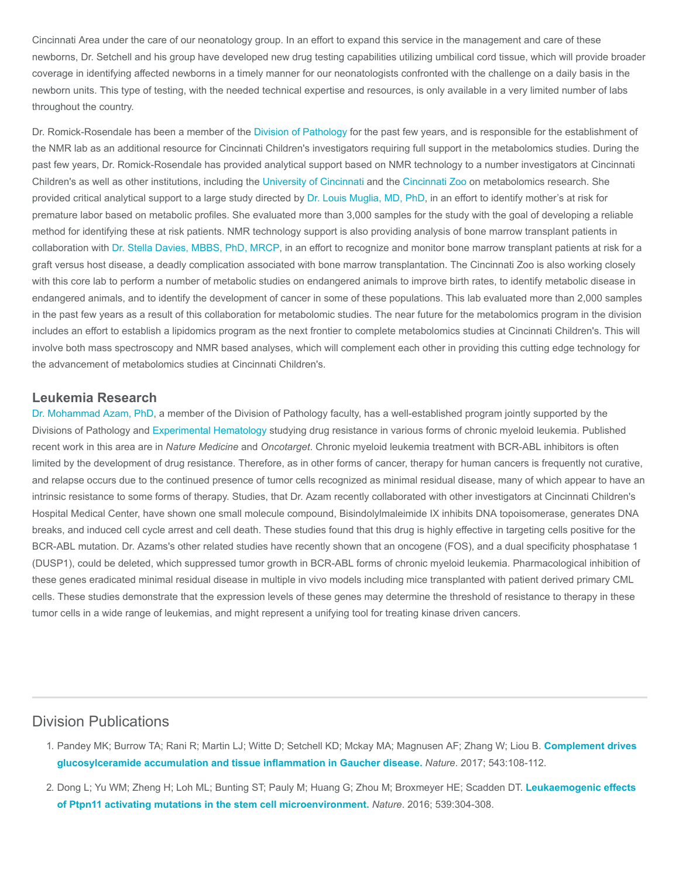Cincinnati Area under the care of our neonatology group. In an effort to expand this service in the management and care of these newborns, Dr. Setchell and his group have developed new drug testing capabilities utilizing umbilical cord tissue, which will provide broader coverage in identifying affected newborns in a timely manner for our neonatologists confronted with the challenge on a daily basis in the newborn units. This type of testing, with the needed technical expertise and resources, is only available in a very limited number of labs throughout the country.

Dr. Romick-Rosendale has been a member of the [Division of Pathology](https://www.cincinnatichildrens.org/research/divisions/p/pathology) for the past few years, and is responsible for the establishment of the NMR lab as an additional resource for Cincinnati Children's investigators requiring full support in the metabolomics studies. During the past few years, Dr. Romick-Rosendale has provided analytical support based on NMR technology to a number investigators at Cincinnati Children's as well as other institutions, including the [University of Cincinnati](http://www.uc.edu/) and the [Cincinnati Zoo](http://cincinnatizoo.org/) on metabolomics research. She provided critical analytical support to a large study directed by [Dr. Louis Muglia, MD, PhD](https://www.cincinnatichildrens.org/bio/m/louis-muglia), in an effort to identify mother's at risk for premature labor based on metabolic profiles. She evaluated more than 3,000 samples for the study with the goal of developing a reliable method for identifying these at risk patients. NMR technology support is also providing analysis of bone marrow transplant patients in collaboration with [Dr. Stella Davies, MBBS, PhD, MRCP](https://www.cincinnatichildrens.org/bio/d/stella-davies), in an effort to recognize and monitor bone marrow transplant patients at risk for a graft versus host disease, a deadly complication associated with bone marrow transplantation. The Cincinnati Zoo is also working closely with this core lab to perform a number of metabolic studies on endangered animals to improve birth rates, to identify metabolic disease in endangered animals, and to identify the development of cancer in some of these populations. This lab evaluated more than 2,000 samples in the past few years as a result of this collaboration for metabolomic studies. The near future for the metabolomics program in the division includes an effort to establish a lipidomics program as the next frontier to complete metabolomics studies at Cincinnati Children's. This will involve both mass spectroscopy and NMR based analyses, which will complement each other in providing this cutting edge technology for the advancement of metabolomics studies at Cincinnati Children's.

#### Leukemia Research

[Dr. Mohammad Azam, PhD](https://www.cincinnatichildrens.org/bio/a/mohammad-azam), a member of the Division of Pathology faculty, has a well-established program jointly supported by the Divisions of Pathology and [Experimental Hematology](https://www.cincinnatichildrens.org/research/divisions/e/ex-hem) studying drug resistance in various forms of chronic myeloid leukemia. Published recent work in this area are in Nature Medicine and Oncotarget. Chronic myeloid leukemia treatment with BCR-ABL inhibitors is often limited by the development of drug resistance. Therefore, as in other forms of cancer, therapy for human cancers is frequently not curative, and relapse occurs due to the continued presence of tumor cells recognized as minimal residual disease, many of which appear to have an intrinsic resistance to some forms of therapy. Studies, that Dr. Azam recently collaborated with other investigators at Cincinnati Children's Hospital Medical Center, have shown one small molecule compound, Bisindolylmaleimide IX inhibits DNA topoisomerase, generates DNA breaks, and induced cell cycle arrest and cell death. These studies found that this drug is highly effective in targeting cells positive for the BCR-ABL mutation. Dr. Azams's other related studies have recently shown that an oncogene (FOS), and a dual specificity phosphatase 1 (DUSP1), could be deleted, which suppressed tumor growth in BCR-ABL forms of chronic myeloid leukemia. Pharmacological inhibition of these genes eradicated minimal residual disease in multiple in vivo models including mice transplanted with patient derived primary CML cells. These studies demonstrate that the expression levels of these genes may determine the threshold of resistance to therapy in these tumor cells in a wide range of leukemias, and might represent a unifying tool for treating kinase driven cancers.

## Division Publications

- 1. [Pandey MK; Burrow TA; Rani R; Martin LJ; Witte D; Setchell KD; Mckay MA; Magnusen AF; Zhang W; Liou B.](https://www.ncbi.nlm.nih.gov/pubmed/28225753) Complement drives glucosylceramide accumulation and tissue inflammation in Gaucher disease. Nature. 2017; 543:108-112.
- 2. [Dong L; Yu WM; Zheng H; Loh ML; Bunting ST; Pauly M; Huang G; Zhou M; Broxmeyer HE; Scadden DT.](https://www.ncbi.nlm.nih.gov/pubmed/27783593) Leukaemogenic effects of Ptpn11 activating mutations in the stem cell microenvironment. Nature. 2016; 539:304-308.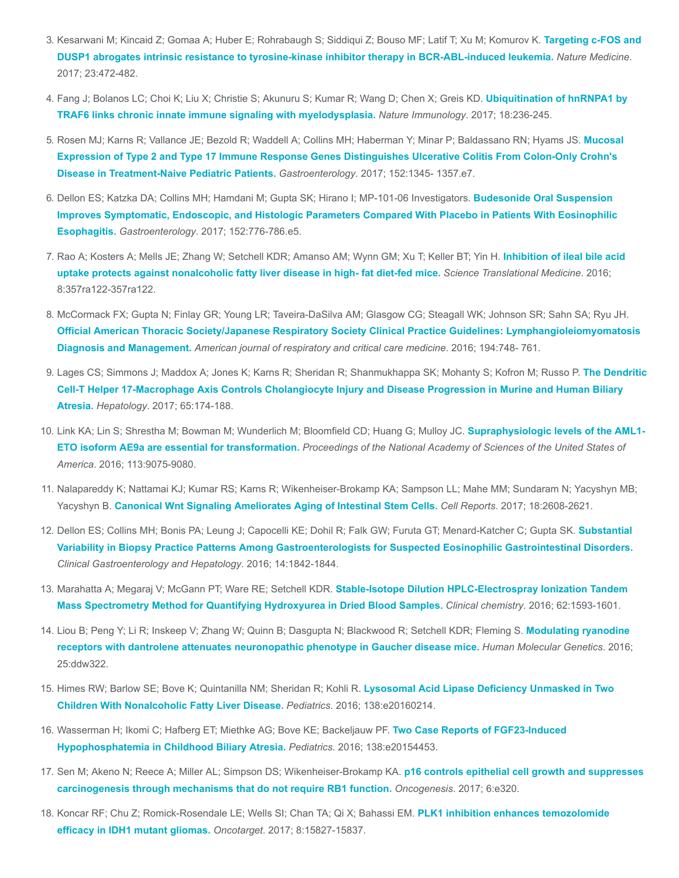- 3. [Kesarwani M; Kincaid Z; Gomaa A; Huber E; Rohrabaugh S; Siddiqui Z; Bouso MF; Latif T; Xu M; Komurov K.](https://www.ncbi.nlm.nih.gov/pubmed/28319094) Targeting c-FOS and DUSP1 abrogates intrinsic resistance to tyrosine-kinase inhibitor therapy in BCR-ABL-induced leukemia. Nature Medicine. 2017; 23:472-482.
- 4. [Fang J; Bolanos LC; Choi K; Liu X; Christie S; Akunuru S; Kumar R; Wang D; Chen X; Greis KD.](https://www.ncbi.nlm.nih.gov/pubmed/28024152) Ubiquitination of hnRNPA1 by TRAF6 links chronic innate immune signaling with myelodysplasia. Nature Immunology. 2017; 18:236-245.
- 5. [Rosen MJ; Karns R; Vallance JE; Bezold R; Waddell A; Collins MH; Haberman Y; Minar P; Baldassano RN; Hyams JS.](https://www.ncbi.nlm.nih.gov/pubmed/28132889) Mucosal Expression of Type 2 and Type 17 Immune Response Genes Distinguishes Ulcerative Colitis From Colon-Only Crohn's Disease in Treatment-Naive Pediatric Patients. Gastroenterology. 2017; 152:1345- 1357.e7.
- 6. Dellon ES; Katzka DA; Collins MH; Hamdani M; Gupta SK; Hirano I; MP-101-06 Investigators. Budesonide Oral Suspension [Improves Symptomatic, Endoscopic, and Histologic Parameters Compared With Placebo in Patients With Eosinophilic](https://www.ncbi.nlm.nih.gov/pubmed/27889574) Esophagitis. Gastroenterology. 2017; 152:776-786.e5.
- 7. [Rao A; Kosters A; Mells JE; Zhang W; Setchell KDR; Amanso AM; Wynn GM; Xu T; Keller BT; Yin H.](https://www.ncbi.nlm.nih.gov/pubmed/27655848) Inhibition of ileal bile acid uptake protects against nonalcoholic fatty liver disease in high- fat diet-fed mice. Science Translational Medicine. 2016; 8:357ra122-357ra122.
- 8. McCormack FX; Gupta N; Finlay GR; Young LR; Taveira-DaSilva AM; Glasgow CG; Steagall WK; Johnson SR; Sahn SA; Ryu JH. [Official American Thoracic Society/Japanese Respiratory Society Clinical Practice Guidelines: Lymphangioleiomyomatosis](https://www.ncbi.nlm.nih.gov/pubmed/27628078) Diagnosis and Management. American journal of respiratory and critical care medicine. 2016; 194:748- 761.
- 9. [Lages CS; Simmons J; Maddox A; Jones K; Karns R; Sheridan R; Shanmukhappa SK; Mohanty S; Kofron M; Russo P.](https://www.ncbi.nlm.nih.gov/pubmed/27641439) The Dendritic Cell-T Helper 17-Macrophage Axis Controls Cholangiocyte Injury and Disease Progression in Murine and Human Biliary Atresia. Hepatology. 2017; 65:174-188.
- 10. [Link KA; Lin S; Shrestha M; Bowman M; Wunderlich M; Bloomfield CD; Huang G; Mulloy JC.](https://www.ncbi.nlm.nih.gov/pubmed/27457952) Supraphysiologic levels of the AML1-ETO isoform AE9a are essential for transformation. Proceedings of the National Academy of Sciences of the United States of America. 2016; 113:9075-9080.
- 11. Nalapareddy K; Nattamai KJ; Kumar RS; Karns R; Wikenheiser-Brokamp KA; Sampson LL; Mahe MM; Sundaram N; Yacyshyn MB; Yacyshyn B. [Canonical Wnt Signaling Ameliorates Aging of Intestinal Stem Cells.](https://www.ncbi.nlm.nih.gov/pubmed/28297666) Cell Reports. 2017; 18:2608-2621.
- 12. [Dellon ES; Collins MH; Bonis PA; Leung J; Capocelli KE; Dohil R; Falk GW; Furuta GT; Menard-Katcher C; Gupta SK.](https://www.ncbi.nlm.nih.gov/pubmed/27112108) Substantial Variability in Biopsy Practice Patterns Among Gastroenterologists for Suspected Eosinophilic Gastrointestinal Disorders. Clinical Gastroenterology and Hepatology. 2016; 14:1842-1844.
- 13. Marahatta A; Megaraj V; McGann PT; Ware RE; Setchell KDR. Stable-Isotope Dilution HPLC-Electrospray Ionization Tandem [Mass Spectrometry Method for Quantifying Hydroxyurea in Dried Blood Samples.](https://www.ncbi.nlm.nih.gov/pubmed/27694393) Clinical chemistry. 2016; 62:1593-1601.
- 14. [Liou B; Peng Y; Li R; Inskeep V; Zhang W; Quinn B; Dasgupta N; Blackwood R; Setchell KDR; Fleming S.](https://www.ncbi.nlm.nih.gov/pubmed/27655403) Modulating ryanodine receptors with dantrolene attenuates neuronopathic phenotype in Gaucher disease mice. Human Molecular Genetics. 2016; 25:ddw322.
- 15. [Himes RW; Barlow SE; Bove K; Quintanilla NM; Sheridan R; Kohli R.](https://www.ncbi.nlm.nih.gov/pubmed/27624512) Lysosomal Acid Lipase Deficiency Unmasked in Two Children With Nonalcoholic Fatty Liver Disease. Pediatrics. 2016; 138:e20160214.
- 16. [Wasserman H; Ikomi C; Hafberg ET; Miethke AG; Bove KE; Backeljauw PF.](https://www.ncbi.nlm.nih.gov/pubmed/27462066) Two Case Reports of FGF23-Induced Hypophosphatemia in Childhood Biliary Atresia. Pediatrics. 2016; 138:e20154453.
- 17. [Sen M; Akeno N; Reece A; Miller AL; Simpson DS; Wikenheiser-Brokamp KA.](https://www.ncbi.nlm.nih.gov/pubmed/28414317) p16 controls epithelial cell growth and suppresses carcinogenesis through mechanisms that do not require RB1 function. Oncogenesis. 2017; 6:e320.
- 18. [Koncar RF; Chu Z; Romick-Rosendale LE; Wells SI; Chan TA; Qi X; Bahassi EM.](https://www.ncbi.nlm.nih.gov/pubmed/28178660) PLK1 inhibition enhances temozolomide efficacy in IDH1 mutant gliomas. Oncotarget. 2017; 8:15827-15837.